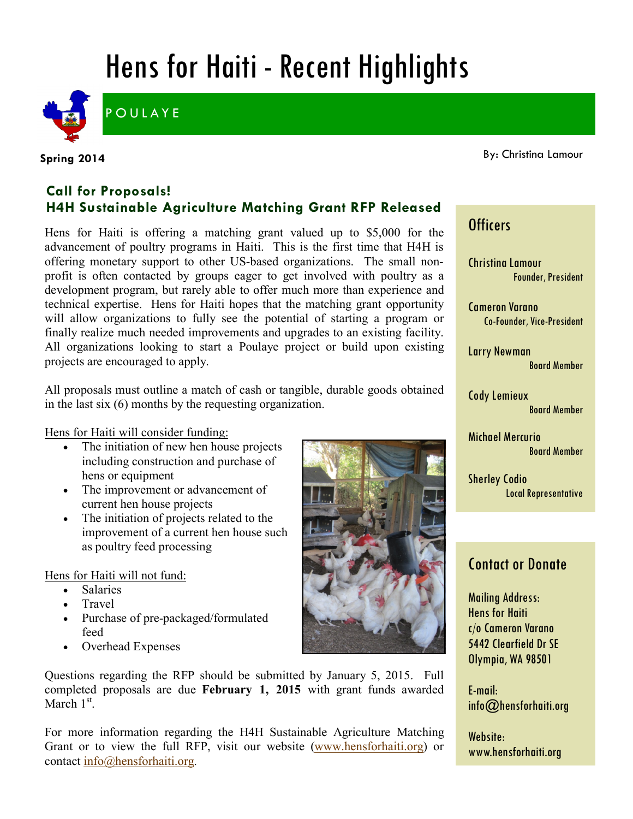# Hens for Haiti - Recent Highlights



**POULAYE** 

#### **Spring 2014**

By: Christina Lamour

### **Call for Proposals! H4H Sustainable Agriculture Matching Grant RFP Released**

Hens for Haiti is offering a matching grant valued up to \$5,000 for the advancement of poultry programs in Haiti. This is the first time that H4H is offering monetary support to other US-based organizations. The small nonprofit is often contacted by groups eager to get involved with poultry as a development program, but rarely able to offer much more than experience and technical expertise. Hens for Haiti hopes that the matching grant opportunity will allow organizations to fully see the potential of starting a program or finally realize much needed improvements and upgrades to an existing facility. All organizations looking to start a Poulaye project or build upon existing projects are encouraged to apply.

All proposals must outline a match of cash or tangible, durable goods obtained in the last six (6) months by the requesting organization.

Hens for Haiti will consider funding:

- The initiation of new hen house projects including construction and purchase of hens or equipment
- The improvement or advancement of current hen house projects
- The initiation of projects related to the improvement of a current hen house such as poultry feed processing

Hens for Haiti will not fund:

- Salaries
- Travel
- Purchase of pre-packaged/formulated feed
- Overhead Expenses

Questions regarding the RFP should be submitted by January 5, 2015. Full completed proposals are due **February 1, 2015** with grant funds awarded March  $1<sup>st</sup>$ .

For more information regarding the H4H Sustainable Agriculture Matching Grant or to view the full RFP, visit our website [\(www.hensforhaiti.org\)](http://www.hensforhaiti.org/) or contact [info@hensforhaiti.org.](mailto:info@hensforhaiti.org?subject=RFP%20Questions)



## **Officers**

Christina Lamour Founder, President

Cameron Varano Co-Founder, Vice-President

Larry Newman Board Member

Cody Lemieux Board Member

Michael Mercurio Board Member

Sherley Codio Local Representative

## Contact or Donate

Mailing Address: Hens for Haiti c/o Cameron Varano 5442 Clearfield Dr SE Olympia, WA 98501

E-mail: info@hensforhaiti.org

Website: www.hensforhaiti.org